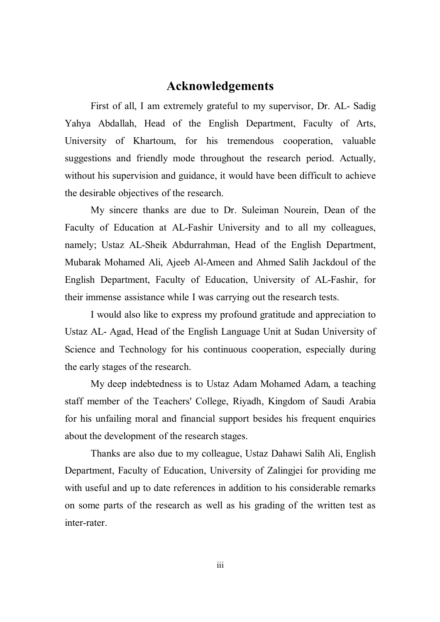### **Acknowledgements**

First of all, I am extremely grateful to my supervisor, Dr. AL- Sadig Yahya Abdallah, Head of the English Department, Faculty of Arts, University of Khartoum, for his tremendous cooperation, valuable suggestions and friendly mode throughout the research period. Actually, without his supervision and guidance, it would have been difficult to achieve the desirable objectives of the research.

My sincere thanks are due to Dr. Suleiman Nourein, Dean of the Faculty of Education at AL-Fashir University and to all my colleagues, namely; Ustaz AL-Sheik Abdurrahman, Head of the English Department, Mubarak Mohamed Ali, Ajeeb Al-Ameen and Ahmed Salih Jackdoul of the English Department, Faculty of Education, University of AL-Fashir, for their immense assistance while I was carrying out the research tests.

I would also like to express my profound gratitude and appreciation to Ustaz AL- Agad, Head of the English Language Unit at Sudan University of Science and Technology for his continuous cooperation, especially during the early stages of the research.

My deep indebtedness is to Ustaz Adam Mohamed Adam, a teaching staff member of the Teachers' College, Riyadh, Kingdom of Saudi Arabia for his unfailing moral and financial support besides his frequent enquiries about the development of the research stages.

Thanks are also due to my colleague, Ustaz Dahawi Salih Ali, English Department, Faculty of Education, University of Zalingjei for providing me with useful and up to date references in addition to his considerable remarks on some parts of the research as well as his grading of the written test as inter-rater.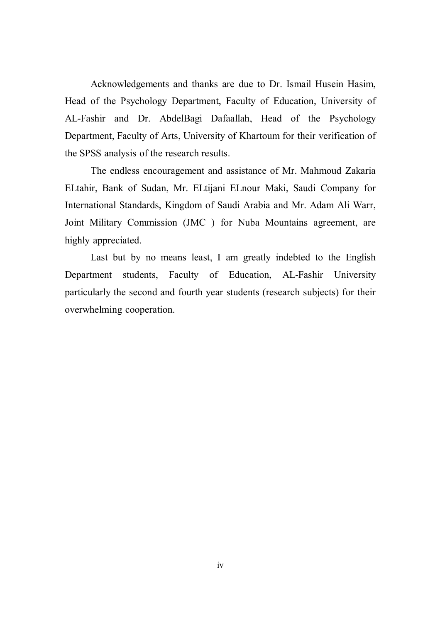Acknowledgements and thanks are due to Dr. Ismail Husein Hasim, Head of the Psychology Department, Faculty of Education, University of AL-Fashir and Dr. AbdelBagi Dafaallah, Head of the Psychology Department, Faculty of Arts, University of Khartoum for their verification of the SPSS analysis of the research results.

The endless encouragement and assistance of Mr. Mahmoud Zakaria ELtahir, Bank of Sudan, Mr. ELtijani ELnour Maki, Saudi Company for International Standards, Kingdom of Saudi Arabia and Mr. Adam Ali Warr, Joint Military Commission (JMC ) for Nuba Mountains agreement, are highly appreciated.

Last but by no means least, I am greatly indebted to the English Department students, Faculty of Education, AL-Fashir University particularly the second and fourth year students (research subjects) for their overwhelming cooperation.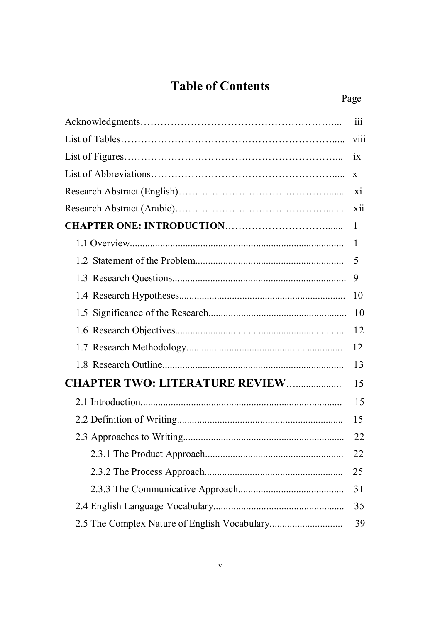# **Table of Contents**

|                                       | 111          |  |
|---------------------------------------|--------------|--|
|                                       | <b>V111</b>  |  |
|                                       |              |  |
|                                       |              |  |
|                                       |              |  |
|                                       |              |  |
|                                       | $\mathbf{1}$ |  |
|                                       | 1            |  |
|                                       | 5            |  |
|                                       | 9            |  |
|                                       | 10           |  |
|                                       | 10           |  |
|                                       | 12           |  |
|                                       | 12           |  |
|                                       | 13           |  |
| <b>CHAPTER TWO: LITERATURE REVIEW</b> | 15           |  |
|                                       | 15           |  |
|                                       | 15           |  |
|                                       | 22           |  |
|                                       | 22           |  |
|                                       | 25           |  |
|                                       | 31           |  |
|                                       | 35           |  |
|                                       | 39           |  |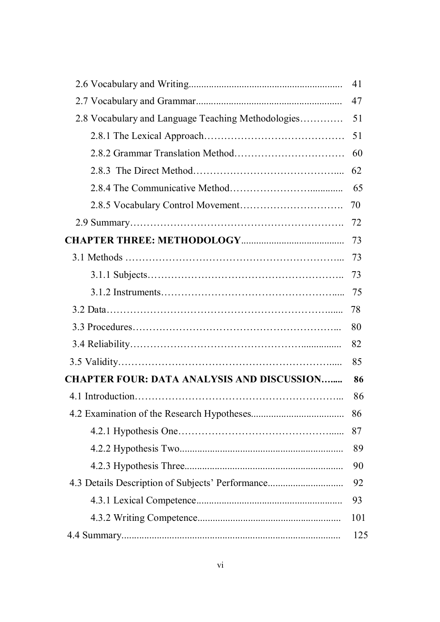|                                                    | 41  |
|----------------------------------------------------|-----|
|                                                    | 47  |
| 2.8 Vocabulary and Language Teaching Methodologies | 51  |
|                                                    | 51  |
|                                                    | 60  |
|                                                    | 62  |
|                                                    | 65  |
|                                                    | 70  |
|                                                    | 72  |
|                                                    | 73  |
|                                                    | 73  |
|                                                    | 73  |
|                                                    | 75  |
|                                                    | 78  |
|                                                    | 80  |
|                                                    |     |
|                                                    |     |
| <b>CHAPTER FOUR: DATA ANALYSIS AND DISCUSSION</b>  | 86  |
|                                                    | 86  |
|                                                    | 86  |
|                                                    | 87  |
|                                                    | 89  |
|                                                    | 90  |
| 4.3 Details Description of Subjects' Performance   | 92  |
|                                                    | 93  |
|                                                    | 101 |
|                                                    | 125 |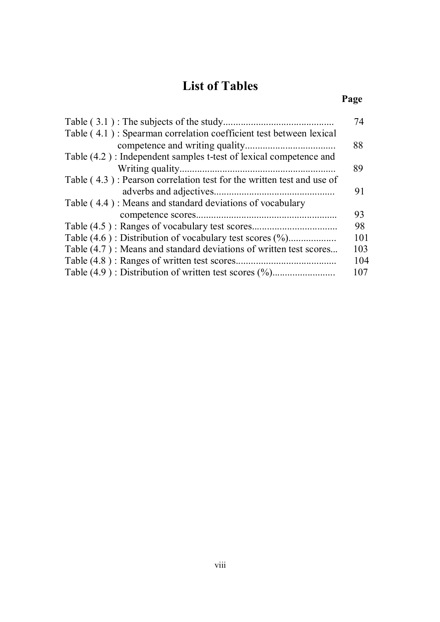## **List of Tables**

### *Page*

|                                                                          | 74  |
|--------------------------------------------------------------------------|-----|
| Table (4.1): Spearman correlation coefficient test between lexical       |     |
|                                                                          | 88  |
| Table (4.2): Independent samples t-test of lexical competence and        |     |
|                                                                          | 89  |
| Table $(4.3)$ : Pearson correlation test for the written test and use of |     |
|                                                                          | 91  |
| Table (4.4): Means and standard deviations of vocabulary                 |     |
|                                                                          | 93  |
|                                                                          | 98  |
|                                                                          | 101 |
| Table (4.7): Means and standard deviations of written test scores        | 103 |
|                                                                          | 104 |
|                                                                          | 107 |
|                                                                          |     |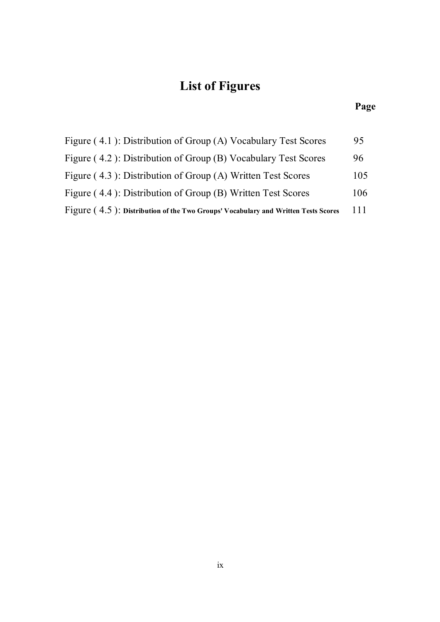# **List of Figures**

#### **Page**

| Figure (4.1): Distribution of Group (A) Vocabulary Test Scores                       | 95  |
|--------------------------------------------------------------------------------------|-----|
| Figure (4.2): Distribution of Group (B) Vocabulary Test Scores                       | 96  |
| Figure (4.3): Distribution of Group (A) Written Test Scores                          | 105 |
| Figure (4.4): Distribution of Group (B) Written Test Scores                          | 106 |
| $Figure (4.5)$ : Distribution of the Two Groups' Vocabulary and Written Tests Scores | 111 |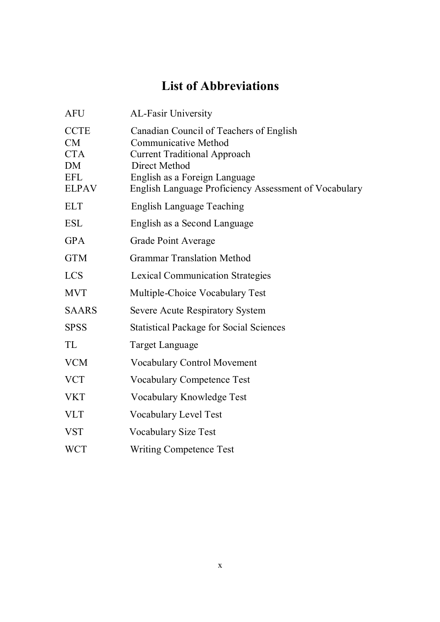## **List of Abbreviations**

| <b>AFU</b>                                                          | <b>AL-Fasir University</b>                                                                                                                                                                                               |
|---------------------------------------------------------------------|--------------------------------------------------------------------------------------------------------------------------------------------------------------------------------------------------------------------------|
| <b>CCTE</b><br>CM<br><b>CTA</b><br>DM<br><b>EFL</b><br><b>ELPAV</b> | Canadian Council of Teachers of English<br><b>Communicative Method</b><br><b>Current Traditional Approach</b><br>Direct Method<br>English as a Foreign Language<br>English Language Proficiency Assessment of Vocabulary |
| <b>ELT</b>                                                          | English Language Teaching                                                                                                                                                                                                |
| <b>ESL</b>                                                          | English as a Second Language                                                                                                                                                                                             |
| <b>GPA</b>                                                          | <b>Grade Point Average</b>                                                                                                                                                                                               |
| <b>GTM</b>                                                          | <b>Grammar Translation Method</b>                                                                                                                                                                                        |
| <b>LCS</b>                                                          | <b>Lexical Communication Strategies</b>                                                                                                                                                                                  |
| <b>MVT</b>                                                          | Multiple-Choice Vocabulary Test                                                                                                                                                                                          |
| <b>SAARS</b>                                                        | <b>Severe Acute Respiratory System</b>                                                                                                                                                                                   |
| <b>SPSS</b>                                                         | <b>Statistical Package for Social Sciences</b>                                                                                                                                                                           |
| TL                                                                  | Target Language                                                                                                                                                                                                          |
| <b>VCM</b>                                                          | <b>Vocabulary Control Movement</b>                                                                                                                                                                                       |
| <b>VCT</b>                                                          | <b>Vocabulary Competence Test</b>                                                                                                                                                                                        |
| <b>VKT</b>                                                          | Vocabulary Knowledge Test                                                                                                                                                                                                |
| <b>VLT</b>                                                          | <b>Vocabulary Level Test</b>                                                                                                                                                                                             |
| <b>VST</b>                                                          | <b>Vocabulary Size Test</b>                                                                                                                                                                                              |
| <b>WCT</b>                                                          | <b>Writing Competence Test</b>                                                                                                                                                                                           |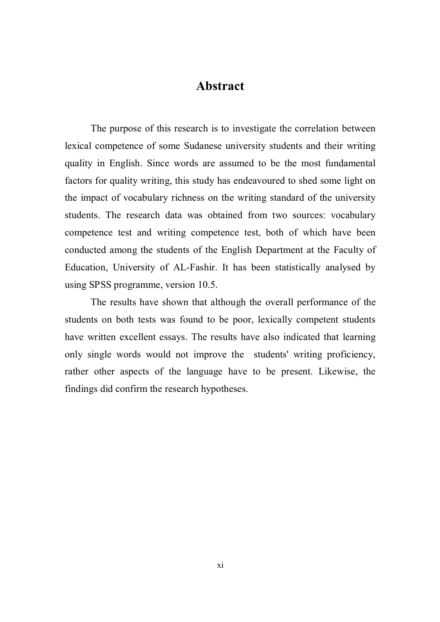## **Abstract**

The purpose of this research is to investigate the correlation between lexical competence of some Sudanese university students and their writing quality in English. Since words are assumed to be the most fundamental factors for quality writing, this study has endeavoured to shed some light on the impact of vocabulary richness on the writing standard of the university students. The research data was obtained from two sources: vocabulary competence test and writing competence test, both of which have been conducted among the students of the English Department at the Faculty of Education, University of AL-Fashir. It has been statistically analysed by using SPSS programme, version 10.5.

The results have shown that although the overall performance of the students on both tests was found to be poor, lexically competent students have written excellent essays. The results have also indicated that learning only single words would not improve the students' writing proficiency, rather other aspects of the language have to be present. Likewise, the findings did confirm the research hypotheses.